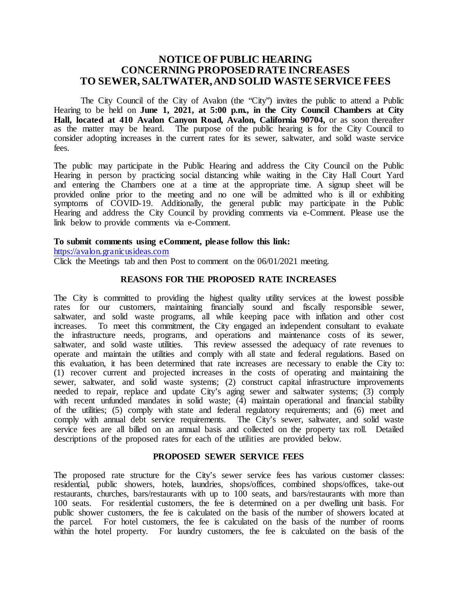# **NOTICE OF PUBLIC HEARING CONCERNING PROPOSED RATE INCREASES TO SEWER, SALTWATER, AND SOLID WASTE SERVICE FEES**

The City Council of the City of Avalon (the "City") invites the public to attend a Public Hearing to be held on **June 1, 2021, at 5:00 p.m., in the City Council Chambers at City**  Hall, located at 410 Avalon Canyon Road, Avalon, California 90704, or as soon thereafter as the matter may be heard. The purpose of the public hearing is for the City Council to consider adopting increases in the current rates for its sewer, saltwater, and solid waste service fees.

The public may participate in the Public Hearing and address the City Council on the Public Hearing in person by practicing social distancing while waiting in the City Hall Court Yard and entering the Chambers one at a time at the appropriate time. A signup sheet will be provided online prior to the meeting and no one will be admitted who is ill or exhibiting symptoms of COVID-19. Additionally, the general public may participate in the Public Hearing and address the City Council by providing comments via e-Comment. Please use the link below to provide comments via e-Comment.

### **To submit comments using eComment, please follow this link:**

[https://avalon.granicusideas.com](https://avalon.granicusideas.com/)

Click the Meetings tab and then Post to comment on the 06/01/2021 meeting.

## **REASONS FOR THE PROPOSED RATE INCREASES**

The City is committed to providing the highest quality utility services at the lowest possible rates for our customers, maintaining financially sound and fiscally responsible sewer, saltwater, and solid waste programs, all while keeping pace with inflation and other cost increases. To meet this commitment, the City engaged an independent consultant to evaluate the infrastructure needs, programs, and operations and maintenance costs of its sewer, saltwater, and solid waste utilities. This review assessed the adequacy of rate revenues to operate and maintain the utilities and comply with all state and federal regulations. Based on this evaluation, it has been determined that rate increases are necessary to enable the City to: (1) recover current and projected increases in the costs of operating and maintaining the sewer, saltwater, and solid waste systems; (2) construct capital infrastructure improvements needed to repair, replace and update City's aging sewer and saltwater systems; (3) comply with recent unfunded mandates in solid waste; (4) maintain operational and financial stability of the utilities; (5) comply with state and federal regulatory requirements; and (6) meet and comply with annual debt service requirements. The City's sewer, saltwater, and solid waste service fees are all billed on an annual basis and collected on the property tax roll. Detailed descriptions of the proposed rates for each of the utilities are provided below.

### **PROPOSED SEWER SERVICE FEES**

The proposed rate structure for the City's sewer service fees has various customer classes: residential, public showers, hotels, laundries, shops/offices, combined shops/offices, take-out restaurants, churches, bars/restaurants with up to 100 seats, and bars/restaurants with more than 100 seats. For residential customers, the fee is determined on a per dwelling unit basis. For public shower customers, the fee is calculated on the basis of the number of showers located at the parcel. For hotel customers, the fee is calculated on the basis of the number of rooms within the hotel property. For laundry customers, the fee is calculated on the basis of the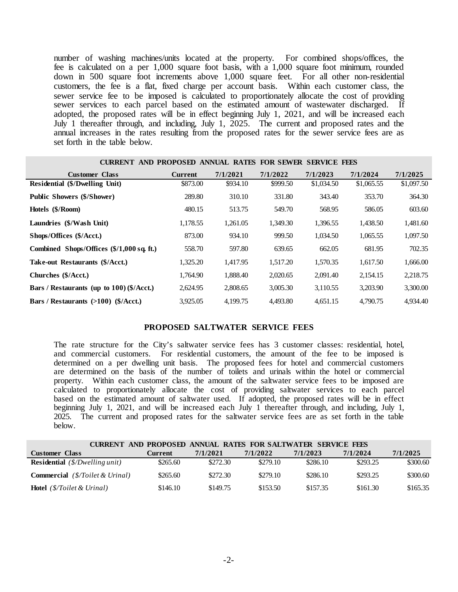number of washing machines/units located at the property. For combined shops/offices, the fee is calculated on a per 1,000 square foot basis, with a 1,000 square foot minimum, rounded down in 500 square foot increments above 1,000 square feet. For all other non-residential customers, the fee is a flat, fixed charge per account basis. Within each customer class, the sewer service fee to be imposed is calculated to proportionately allocate the cost of providing sewer services to each parcel based on the estimated amount of wastewater discharged. If adopted, the proposed rates will be in effect beginning July 1, 2021, and will be increased each July 1 thereafter through, and including, July 1, 2025. The current and proposed rates and the annual increases in the rates resulting from the proposed rates for the sewer service fees are as set forth in the table below.

| CURRENT AND PROPOSED ANNUAL RATES FOR SEWER SERVICE FEES |                |          |          |            |            |            |
|----------------------------------------------------------|----------------|----------|----------|------------|------------|------------|
| <b>Customer Class</b>                                    | <b>Current</b> | 7/1/2021 | 7/1/2022 | 7/1/2023   | 7/1/2024   | 7/1/2025   |
| Residential (\$/Dwelling Unit)                           | \$873.00       | \$934.10 | \$999.50 | \$1,034.50 | \$1,065.55 | \$1,097.50 |
| <b>Public Showers (\$/Shower)</b>                        | 289.80         | 310.10   | 331.80   | 343.40     | 353.70     | 364.30     |
| Hotels (\$/Room)                                         | 480.15         | 513.75   | 549.70   | 568.95     | 586.05     | 603.60     |
| Laundries (\$/Wash Unit)                                 | 1.178.55       | 1.261.05 | 1.349.30 | 1,396.55   | 1,438.50   | 1,481.60   |
| Shops/Offices (\$/Acct.)                                 | 873.00         | 934.10   | 999.50   | 1,034.50   | 1,065.55   | 1,097.50   |
| Combined Shops/Offices (\$/1,000 sq. ft.)                | 558.70         | 597.80   | 639.65   | 662.05     | 681.95     | 702.35     |
| Take-out Restaurants (\$/Acct.)                          | 1,325.20       | 1.417.95 | 1.517.20 | 1,570.35   | 1,617.50   | 1,666.00   |
| Churches (\$/Acct.)                                      | 1.764.90       | 1.888.40 | 2,020.65 | 2,091.40   | 2,154.15   | 2,218.75   |
| Bars / Restaurants (up to 100) (\$/Acct.)                | 2,624.95       | 2,808.65 | 3,005.30 | 3,110.55   | 3,203.90   | 3,300.00   |
| Bars / Restaurants $(>100)$ (\$/Acct.)                   | 3.925.05       | 4.199.75 | 4.493.80 | 4.651.15   | 4.790.75   | 4.934.40   |

#### **PROPOSED SALTWATER SERVICE FEES**

The rate structure for the City's saltwater service fees has 3 customer classes: residential, hotel, and commercial customers. For residential customers, the amount of the fee to be imposed is determined on a per dwelling unit basis. The proposed fees for hotel and commercial customers are determined on the basis of the number of toilets and urinals within the hotel or commercial property. Within each customer class, the amount of the saltwater service fees to be imposed are calculated to proportionately allocate the cost of providing saltwater services to each parcel based on the estimated amount of saltwater used. If adopted, the proposed rates will be in effect beginning July 1, 2021, and will be increased each July 1 thereafter through, and including, July 1, 2025. The current and proposed rates for the saltwater service fees are as set forth in the table below.

|                                                                   | CURRENT AND PROPOSED ANNUAL RATES FOR SALTWATER SERVICE FEES |          |          |          |          |          |  |
|-------------------------------------------------------------------|--------------------------------------------------------------|----------|----------|----------|----------|----------|--|
| <b>Customer Class</b>                                             | Current                                                      | 7/1/2021 | 7/1/2022 | 7/1/2023 | 7/1/2024 | 7/1/2025 |  |
| <b>Residential</b> $(\frac{S}{Dw}$ <i>elling unit</i> )           | \$265.60                                                     | \$272.30 | \$279.10 | \$286.10 | \$293.25 | \$300.60 |  |
| <b>Commercial</b> $(\frac{8}{\text{Toilet}} \& U\text{final})$    | \$265.60                                                     | \$272.30 | \$279.10 | \$286.10 | \$293.25 | \$300.60 |  |
| <b>Hotel</b> $(\frac{8}{\sqrt{10}})$ ( <i>S</i> /Toilet & Urinal) | \$146.10                                                     | \$149.75 | \$153.50 | \$157.35 | \$161.30 | \$165.35 |  |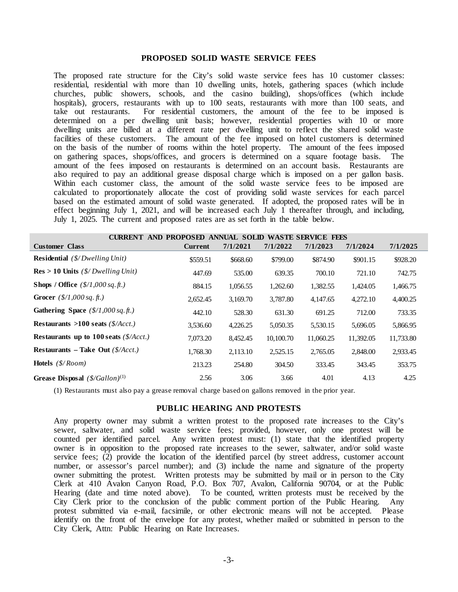#### **PROPOSED SOLID WASTE SERVICE FEES**

The proposed rate structure for the City's solid waste service fees has 10 customer classes: residential, residential with more than 10 dwelling units, hotels, gathering spaces (which include churches, public showers, schools, and the casino building), shops/offices (which include hospitals), grocers, restaurants with up to 100 seats, restaurants with more than 100 seats, and take out restaurants. For residential customers, the amount of the fee to be imposed is For residential customers, the amount of the fee to be imposed is determined on a per dwelling unit basis; however, residential properties with 10 or more dwelling units are billed at a different rate per dwelling unit to reflect the shared solid waste facilities of these customers. The amount of the fee imposed on hotel customers is determined on the basis of the number of rooms within the hotel property. The amount of the fees imposed on gathering spaces, shops/offices, and grocers is determined on a square footage basis. The amount of the fees imposed on restaurants is determined on an account basis. Restaurants are also required to pay an additional grease disposal charge which is imposed on a per gallon basis. Within each customer class, the amount of the solid waste service fees to be imposed are calculated to proportionately allocate the cost of providing solid waste services for each parcel based on the estimated amount of solid waste generated. If adopted, the proposed rates will be in effect beginning July 1, 2021, and will be increased each July 1 thereafter through, and including, July 1, 2025. The current and proposed rates are as set forth in the table below.

| CURRENT AND PROPOSED ANNUAL SOLID WASTE SERVICE FEES      |                |          |           |           |           |           |  |
|-----------------------------------------------------------|----------------|----------|-----------|-----------|-----------|-----------|--|
| <b>Customer Class</b>                                     | <b>Current</b> | 7/1/2021 | 7/1/2022  | 7/1/2023  | 7/1/2024  | 7/1/2025  |  |
| <b>Residential</b> $(\frac{S}{Dw}$ <i>elling Unit</i> )   | \$559.51       | \$668.60 | \$799.00  | \$874.90  | \$901.15  | \$928.20  |  |
| $Res > 10$ Units (\$/Dwelling Unit)                       | 447.69         | 535.00   | 639.35    | 700.10    | 721.10    | 742.75    |  |
| <b>Shops / Office</b> $(\frac{8}{1,000 \text{ sq. ft.}})$ | 884.15         | 1,056.55 | 1,262.60  | 1,382.55  | 1,424.05  | 1,466.75  |  |
| <b>Grocer</b> $(\frac{5}{1,000 \text{ sq. ft.}})$         | 2,652.45       | 3,169.70 | 3,787.80  | 4,147.65  | 4,272.10  | 4,400.25  |  |
| Gathering Space $(\frac{\$}{1,000 \text{ sq. ft.}})$      | 442.10         | 528.30   | 631.30    | 691.25    | 712.00    | 733.35    |  |
| Restaurants >100 seats $(\frac{5}{Acct})$                 | 3,536.60       | 4,226.25 | 5,050.35  | 5,530.15  | 5,696.05  | 5,866.95  |  |
| Restaurants up to 100 seats $(\frac{5}{Acct})$            | 7,073.20       | 8,452.45 | 10,100.70 | 11,060.25 | 11,392.05 | 11,733.80 |  |
| Restaurants - Take Out $(\frac{5}{Acct})$                 | 1,768.30       | 2,113.10 | 2,525.15  | 2,765.05  | 2,848.00  | 2,933.45  |  |
| <b>Hotels</b> (\$/Room)                                   | 213.23         | 254.80   | 304.50    | 333.45    | 343.45    | 353.75    |  |
| Grease Disposal $(\frac{8}{Gallon})^{(1)}$                | 2.56           | 3.06     | 3.66      | 4.01      | 4.13      | 4.25      |  |

(1) Restaurants must also pay a grease removal charge based on gallons removed in the prior year.

### **PUBLIC HEARING AND PROTESTS**

Any property owner may submit a written protest to the proposed rate increases to the City's sewer, saltwater, and solid waste service fees; provided, however, only one protest will be counted per identified parcel. Any written protest must: (1) state that the identified property owner is in opposition to the proposed rate increases to the sewer, saltwater, and/or solid waste service fees;  $(2)$  provide the location of the identified parcel (by street address, customer account number, or assessor's parcel number); and (3) include the name and signature of the property owner submitting the protest. Written protests may be submitted by mail or in person to the City Clerk at 410 Avalon Canyon Road, P.O. Box 707, Avalon, California 90704, or at the Public Hearing (date and time noted above). To be counted, written protests must be received by the City Clerk prior to the conclusion of the public comment portion of the Public Hearing. Any protest submitted via e-mail, facsimile, or other electronic means will not be accepted. Please identify on the front of the envelope for any protest, whether mailed or submitted in person to the City Clerk, Attn: Public Hearing on Rate Increases.